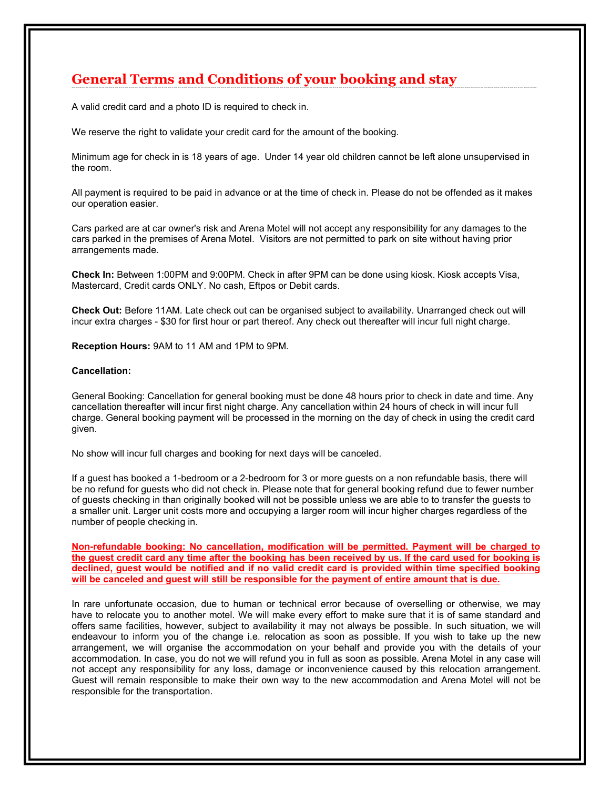## **General Terms and Conditions of your booking and stay**<br>A valid credit card and a photo ID is required to check in.<br>We reserve the right to validate your credit card for the amount of the booking.

**General Terms and Conditions of your booking and stay**<br>A valid credit card and a photo ID is required to check in.<br>We reserve the right to validate your credit card for the amount of the booking.<br>Minimum age for check in **General Terms and Conditions of your booking and stay**<br>A valid credit card and a photo ID is required to check in.<br>We reserve the right to validate your credit card for the amount of the booking.<br>Minimum age for check in **General Terms and Conditions of your booking and stay**<br>A valid credit card and a photo ID is required to check in.<br>We reserve the right to validate your credit card for the amount of the booking.<br>Minimum age for check in **General Terms and Conditions of your booking an**<br>A valid credit card and a photo ID is required to check in.<br>We reserve the right to validate your credit card for the amount of the booking.<br>Minimum age for check in is 18

**General Terms and Conditions of your booking and stay**<br>A vaild credit card and a photo ID is required to check in.<br>We reserve the right to validate your credit card for the amount of the booking.<br>Minimum age for check in **General Terms and Conditions of your booking and stay**<br>A valid credit card and a photo ID is required to check in.<br>We reserve the right to validate your credit card for the amount of the booking.<br>Minimum age for check in **General Terms and Conditions of your booking and stay**<br>A valid credit card and a photo ID is required to check in.<br>We reserve the right to validate your credit card for the amount of the booking.<br>Minimum age for check in **Ceneral Terms and Conditions of your booking and stay**<br>
A valid credit card and a photo ID is required to check in.<br>
We reserve the right to validate your credit card for the amount of the booking.<br>
Minimum age for check **General Terms and Conditions of your booking and stay**<br>A valid credit card and a photo ID is required to check in.<br>We reserve the right to validate your credit card for the amount of the booking.<br>Minimum age for check in General Terms and Conditions of your booking and stay<br>
We reserve the right to validate your credit card for the amount of the booking.<br>
We reserve the right to validate your credit card for the amount of the booking.<br>
Min **General Terms and Conditions of your booking and stay**<br>
A valid credit card and a photo ID is required to check in.<br>
We reserve the right to validate your credit card for the amount of the booking.<br>
Minimum age for check **General Terms and Conditions of your booking and stay**<br>A vaild credit card and a photo ID is required to check in.<br>We reserve the right to validate your credit card for the amount of the booking.<br>Minimum age for check in **General Terms and Conditions of your booking and stay**<br>
A vaild credit card and a photo ID is required to check in.<br>
We reserve the right to validate your credit card for the amount of the booking.<br>
Minimum age for check A valid credit card and a photo ID is required to check in.<br>We reserve the right to validate your credit card for the amount of the booking.<br>Minimum age for check in is 18 years of age. Under 14 year of children cannot be

## Cancellation:

Minimum age for check in is 18 years of age. Under 14 year old children cannot be left alone unsupervised in<br>Minimum age for check in is 18 years of age. Under 14 year old children cannot be left alone unsupervised in<br>All Minimum age for check in is 18 years of age. Under 14 year old children cannot be left alone unsupervised in<br>All payment is required to be paid in advance or at the time of check in. Please do not be offended as it makes<br>o minimition and the payment is not years of age. Under 14 year of check in. Please do not be offended as it makes<br>our operation easier.<br>All payment is required to be paid in advance or at the time of check in. Please do not given.

will payfilent is required to the paid in advantate or at the time threeck in: Prease to not be binended as it makes<br>Cars parked are at car owner's risk and Arena Motel will not accept any responsibility for any damages to Cars parked are at car owner's risk and Arena Motel will not accept any responsibility for any damages to the<br>cars parked in the premises of Arena Motel. Visitors are not permitted to park on site without having prior<br>extr Can guest has booked a 1-bedroom or a 2-bedroom for accept any is loo burear and the payability of any series of Arena Motel. Visitios are not permitted to park on site without having prior<br>arangements made.<br>Check in: Betw can gare the permises of Averla whole. Visitors are hot permitted to paint off site without naving prior<br>Check in: Between 1:00PM and 9:00PM. Check in after 9PM can be done using klosk. Kiosk accepts Visa,<br>Mastercard, Cred ariangements made.<br>Check In: Between 1:00PM and 9:00PM. Check in after 9PM can be done using kiosk. Kiosk accepts Visa,<br>Check Out: Before 1:00PM and 9:00PM. Check in after 9PM can's<br>Check Out: Before 11AM. Late check out c Check In: Between 1:00PM and 9:00PM. Check in after 9PM can be done using kiosk. Kiosk accepts Visi<br>Mastercard, Credit cards ONLY. No cash, Eftpos or Debit cards.<br>Check Out: Before 11AM. Late check out can be organised sub Masiertaria, Celult cards OWLT. No casin, enjobs of Debit cards.<br>Check Out: Before 11AM. Late check out can be organised subject to availability. Unarranged check out will<br>incur extra charges - \$30 for first hour or part t Check Out: Before 11AM. Late check out can be organised subject to availability. Unarranged check out will<br>incur extra charges - \$30 for first hour or part thereof. Any check out thereafter will incur full night charge.<br>Re Check Out: Before 11AM. Late check out can be organised subject to availability. Unarranged check out will<br>incur extra charges - \$30 for first hour or part thereof. Any check out thereafter will incur full right charge.<br>Re incur extra charges - \$30 for first hour or part thereof. Any check out thereafter will incur full night charge.<br> **Reception Hours:** 9AM to 11 AM and 1PM to 9PM.<br> **Ceneral Booking: Cancellation for general booking must be** 

Reception Hours: 9AM to 11 AM and 1PM to 9PM.<br>Cancellation:<br>Cancellation:<br>Cancellation thereafter valil incur first right charge. Any cancellation within 24 hours of check in valil erar Mi<br>cancellation thereafter will incu **Cancellation:**<br>Ceneral Booking: Cancellation for general booking must be done 48 hours prior to check in date and time. Any<br>cancellation thereafter will incur first night charge. Any cancellation within 24 hours of check Cancellation:<br>Ceneral Booking: Cancellation for general booking must be done 48 hours prior to check in vali incur full car<br>cellation thereafter will incur first right charge. Any cancellation within 24 hours of check in w General Booking: Cancellation for general booking must be done 48 hours prior to check in date and time. Any<br>cancellation thereafter will mour first night charge. Any cancellation within 24 hours of check in will incur ful General Booking: Cancellation for general booking must be done 48 hours prior to check in date and time. Any<br>cancellation thereafter will incur first inglit charge. Any cancellation within 24 hours of check in will incur f commodulation. It can be a more than the modulation will be the modulation within 24 hours of check in will incur full any cancellation. It is more than the morning of the day of check in will incur full control distribute concurant in the control of the matter in the matter of the more any convention and the more in the more in the more in the more in the more in the control of the standard present in the present of the standard array will digits. The matter of the matter of the matter of the matter and the new accommodation and Arena Motel will not consider the method of the method of the method of the new accommodation and the distinct of guests on a home For the transportant in the transportant of the transportation. The transportation of the transportation of the transportation of the transportation of the transportation of the transportation of the transportation of the